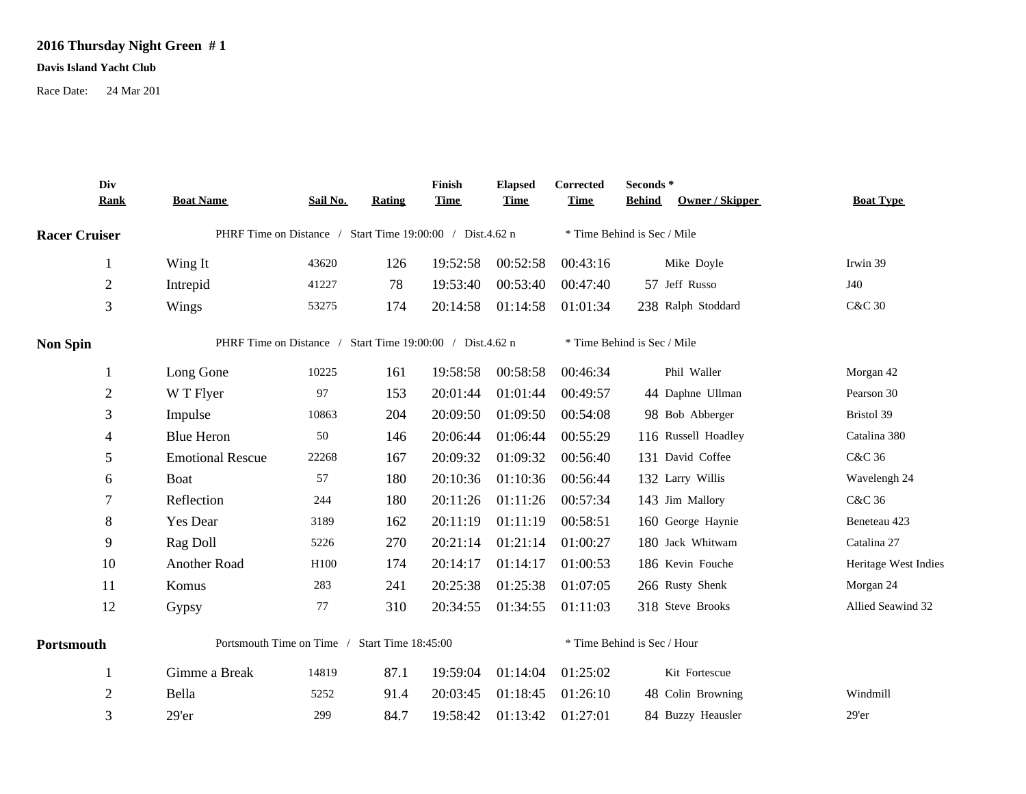## **2016 Thursday Night Green # 1**

## **Davis Island Yacht Club**

Race Date: 24 Mar 201

| Div                  | <b>Rank</b> | <b>Boat Name</b>                                          | Sail No.         | <b>Rating</b> | Finish<br><b>Time</b> | <b>Elapsed</b><br><b>Time</b> | Corrected<br><b>Time</b> | Seconds*<br><b>Behind</b><br>Owner / Skipper | <b>Boat Type</b>     |
|----------------------|-------------|-----------------------------------------------------------|------------------|---------------|-----------------------|-------------------------------|--------------------------|----------------------------------------------|----------------------|
| <b>Racer Cruiser</b> |             | PHRF Time on Distance / Start Time 19:00:00 / Dist.4.62 n |                  |               |                       |                               |                          | * Time Behind is Sec / Mile                  |                      |
| 1                    |             | Wing It                                                   | 43620            | 126           | 19:52:58              | 00:52:58                      | 00:43:16                 | Mike Doyle                                   | Irwin 39             |
| $\sqrt{2}$           |             | Intrepid                                                  | 41227            | 78            | 19:53:40              | 00:53:40                      | 00:47:40                 | 57 Jeff Russo                                | J40                  |
| 3                    |             | Wings                                                     | 53275            | 174           | 20:14:58              | 01:14:58                      | 01:01:34                 | 238 Ralph Stoddard                           | <b>C&amp;C 30</b>    |
| <b>Non Spin</b>      |             | PHRF Time on Distance / Start Time 19:00:00 / Dist.4.62 n |                  |               |                       |                               |                          | * Time Behind is Sec / Mile                  |                      |
| 1                    |             | Long Gone                                                 | 10225            | 161           | 19:58:58              | 00:58:58                      | 00:46:34                 | Phil Waller                                  | Morgan 42            |
| $\sqrt{2}$           |             | W T Flyer                                                 | 97               | 153           | 20:01:44              | 01:01:44                      | 00:49:57                 | 44 Daphne Ullman                             | Pearson 30           |
| 3                    |             | Impulse                                                   | 10863            | 204           | 20:09:50              | 01:09:50                      | 00:54:08                 | 98 Bob Abberger                              | Bristol 39           |
| 4                    |             | <b>Blue Heron</b>                                         | 50               | 146           | 20:06:44              | 01:06:44                      | 00:55:29                 | 116 Russell Hoadley                          | Catalina 380         |
| 5                    |             | <b>Emotional Rescue</b>                                   | 22268            | 167           | 20:09:32              | 01:09:32                      | 00:56:40                 | 131 David Coffee                             | C&C 36               |
| 6                    |             | Boat                                                      | 57               | 180           | 20:10:36              | 01:10:36                      | 00:56:44                 | 132 Larry Willis                             | Wavelengh 24         |
| 7                    |             | Reflection                                                | 244              | 180           | 20:11:26              | 01:11:26                      | 00:57:34                 | 143 Jim Mallory                              | C&C 36               |
| $8\,$                |             | <b>Yes Dear</b>                                           | 3189             | 162           | 20:11:19              | 01:11:19                      | 00:58:51                 | 160 George Haynie                            | Beneteau 423         |
| 9                    |             | Rag Doll                                                  | 5226             | 270           | 20:21:14              | 01:21:14                      | 01:00:27                 | 180 Jack Whitwam                             | Catalina 27          |
| 10                   |             | Another Road                                              | H <sub>100</sub> | 174           | 20:14:17              | 01:14:17                      | 01:00:53                 | 186 Kevin Fouche                             | Heritage West Indies |
| 11                   |             | Komus                                                     | 283              | 241           | 20:25:38              | 01:25:38                      | 01:07:05                 | 266 Rusty Shenk                              | Morgan 24            |
| 12                   |             | Gypsy                                                     | 77               | 310           | 20:34:55              | 01:34:55                      | 01:11:03                 | 318 Steve Brooks                             | Allied Seawind 32    |
| Portsmouth           |             | Portsmouth Time on Time / Start Time 18:45:00             |                  |               |                       |                               |                          | * Time Behind is Sec / Hour                  |                      |
| 1                    |             | Gimme a Break                                             | 14819            | 87.1          | 19:59:04              | 01:14:04                      | 01:25:02                 | Kit Fortescue                                |                      |
| $\sqrt{2}$           |             | Bella                                                     | 5252             | 91.4          | 20:03:45              | 01:18:45                      | 01:26:10                 | 48 Colin Browning                            | Windmill             |
| 3                    |             | 29'er                                                     | 299              | 84.7          | 19:58:42              | 01:13:42                      | 01:27:01                 | 84 Buzzy Heausler                            | $29'$ er             |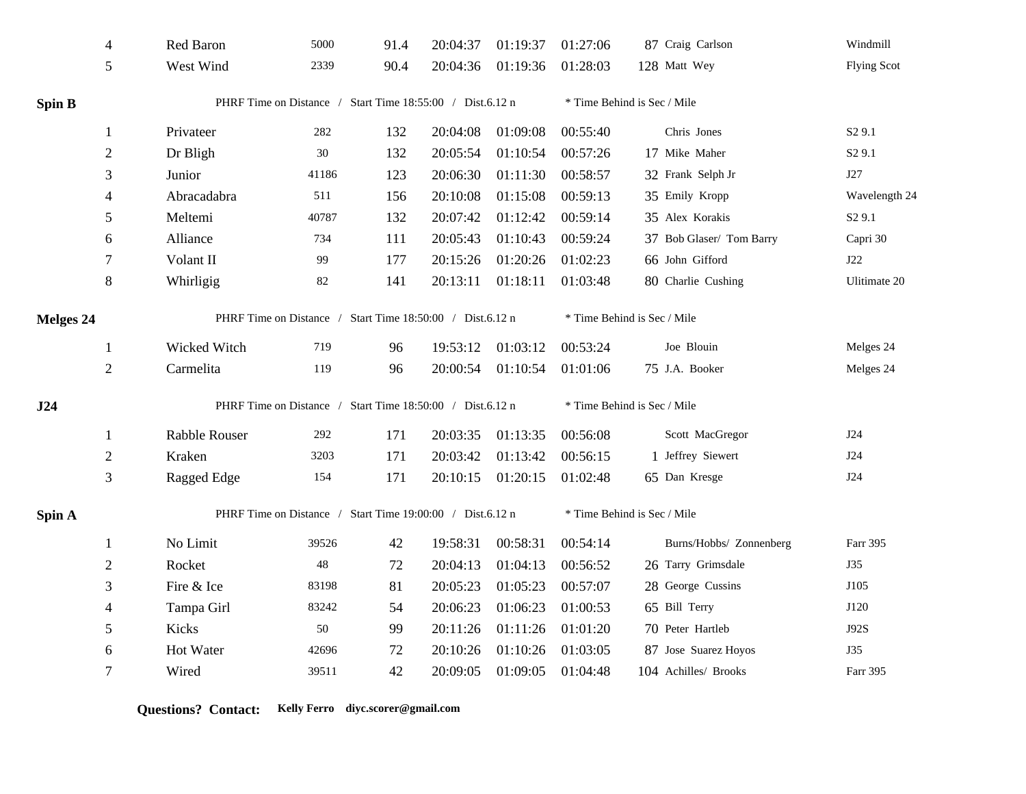|           | $\overline{4}$                                            | Red Baron                                                 | 5000   | 91.4 | 20:04:37 | 01:19:37                    | 01:27:06                    | 87 Craig Carlson            | Windmill           |  |
|-----------|-----------------------------------------------------------|-----------------------------------------------------------|--------|------|----------|-----------------------------|-----------------------------|-----------------------------|--------------------|--|
|           | 5                                                         | West Wind                                                 | 2339   | 90.4 | 20:04:36 | 01:19:36                    | 01:28:03                    | 128 Matt Wey                | <b>Flying Scot</b> |  |
| Spin B    |                                                           | PHRF Time on Distance / Start Time 18:55:00 / Dist.6.12 n |        |      |          |                             | * Time Behind is Sec / Mile |                             |                    |  |
|           | 1                                                         | Privateer                                                 | 282    | 132  | 20:04:08 | 01:09:08                    | 00:55:40                    | Chris Jones                 | S <sub>2</sub> 9.1 |  |
|           | $\mathbf{2}$                                              | Dr Bligh                                                  | $30\,$ | 132  | 20:05:54 | 01:10:54                    | 00:57:26                    | 17 Mike Maher               | S <sub>2</sub> 9.1 |  |
|           | 3                                                         | Junior                                                    | 41186  | 123  | 20:06:30 | 01:11:30                    | 00:58:57                    | 32 Frank Selph Jr           | J27                |  |
|           | $\overline{4}$                                            | Abracadabra                                               | 511    | 156  | 20:10:08 | 01:15:08                    | 00:59:13                    | 35 Emily Kropp              | Wavelength 24      |  |
|           | 5                                                         | Meltemi                                                   | 40787  | 132  | 20:07:42 | 01:12:42                    | 00:59:14                    | 35 Alex Korakis             | S <sub>2</sub> 9.1 |  |
|           | 6                                                         | Alliance                                                  | 734    | 111  | 20:05:43 | 01:10:43                    | 00:59:24                    | 37 Bob Glaser/ Tom Barry    | Capri 30           |  |
|           | 7                                                         | Volant II                                                 | 99     | 177  | 20:15:26 | 01:20:26                    | 01:02:23                    | 66 John Gifford             | J22                |  |
|           | $8\,$                                                     | Whirligig                                                 | 82     | 141  | 20:13:11 | 01:18:11                    | 01:03:48                    | 80 Charlie Cushing          | Ulitimate 20       |  |
| Melges 24 | PHRF Time on Distance / Start Time 18:50:00 / Dist.6.12 n |                                                           |        |      |          | * Time Behind is Sec / Mile |                             |                             |                    |  |
|           | 1                                                         | Wicked Witch                                              | 719    | 96   | 19:53:12 | 01:03:12                    | 00:53:24                    | Joe Blouin                  | Melges 24          |  |
|           | $\overline{2}$                                            | Carmelita                                                 | 119    | 96   | 20:00:54 | 01:10:54                    | 01:01:06                    | 75 J.A. Booker              | Melges 24          |  |
| J24       |                                                           | PHRF Time on Distance / Start Time 18:50:00 / Dist.6.12 n |        |      |          |                             | * Time Behind is Sec / Mile |                             |                    |  |
|           | 1                                                         | Rabble Rouser                                             | 292    | 171  | 20:03:35 | 01:13:35                    | 00:56:08                    | Scott MacGregor             | J24                |  |
|           | $\overline{2}$                                            | Kraken                                                    | 3203   | 171  | 20:03:42 | 01:13:42                    | 00:56:15                    | 1 Jeffrey Siewert           | J24                |  |
|           | 3                                                         | Ragged Edge                                               | 154    | 171  | 20:10:15 | 01:20:15                    | 01:02:48                    | 65 Dan Kresge               | $\rm J24$          |  |
| Spin A    |                                                           | PHRF Time on Distance / Start Time 19:00:00 / Dist.6.12 n |        |      |          |                             |                             | * Time Behind is Sec / Mile |                    |  |
|           | 1                                                         | No Limit                                                  | 39526  | 42   | 19:58:31 | 00:58:31                    | 00:54:14                    | Burns/Hobbs/ Zonnenberg     | Farr 395           |  |
|           | $\mathbf{2}$                                              | Rocket                                                    | 48     | 72   | 20:04:13 | 01:04:13                    | 00:56:52                    | 26 Tarry Grimsdale          | <b>J35</b>         |  |
|           | 3                                                         | Fire & Ice                                                | 83198  | 81   | 20:05:23 | 01:05:23                    | 00:57:07                    | 28 George Cussins           | J105               |  |
|           | 4                                                         | Tampa Girl                                                | 83242  | 54   | 20:06:23 | 01:06:23                    | 01:00:53                    | 65 Bill Terry               | J120               |  |
|           | 5                                                         | Kicks                                                     | 50     | 99   | 20:11:26 | 01:11:26                    | 01:01:20                    | 70 Peter Hartleb            | J92S               |  |
|           | 6                                                         | Hot Water                                                 | 42696  | 72   | 20:10:26 | 01:10:26                    | 01:03:05                    | 87 Jose Suarez Hoyos        | <b>J35</b>         |  |
|           | 7                                                         | Wired                                                     | 39511  | 42   | 20:09:05 | 01:09:05                    | 01:04:48                    | 104 Achilles/ Brooks        | Farr 395           |  |

**Questions? Contact: Kelly Ferro diyc.scorer@gmail.com**